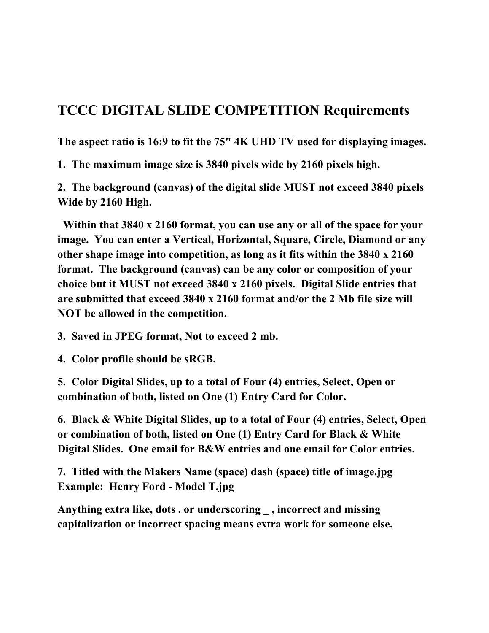## **TCCC DIGITAL SLIDE COMPETITION Requirements**

**The aspect ratio is 16:9 to fit the 75" 4K UHD TV used for displaying images.** 

**1. The maximum image size is 3840 pixels wide by 2160 pixels high.**

**2. The background (canvas) of the digital slide MUST not exceed 3840 pixels Wide by 2160 High.**

 **Within that 3840 x 2160 format, you can use any or all of the space for your image. You can enter a Vertical, Horizontal, Square, Circle, Diamond or any other shape image into competition, as long as it fits within the 3840 x 2160 format. The background (canvas) can be any color or composition of your choice but it MUST not exceed 3840 x 2160 pixels. Digital Slide entries that are submitted that exceed 3840 x 2160 format and/or the 2 Mb file size will NOT be allowed in the competition.** 

**3. Saved in JPEG format, Not to exceed 2 mb.**

**4. Color profile should be sRGB.**

**5. Color Digital Slides, up to a total of Four (4) entries, Select, Open or combination of both, listed on One (1) Entry Card for Color.**

**6. Black & White Digital Slides, up to a total of Four (4) entries, Select, Open or combination of both, listed on One (1) Entry Card for Black & White Digital Slides. One email for B&W entries and one email for Color entries.**

**7. Titled with the Makers Name (space) dash (space) title of image.jpg Example: Henry Ford - Model T.jpg**

**Anything extra like, dots . or underscoring \_ , incorrect and missing capitalization or incorrect spacing means extra work for someone else.**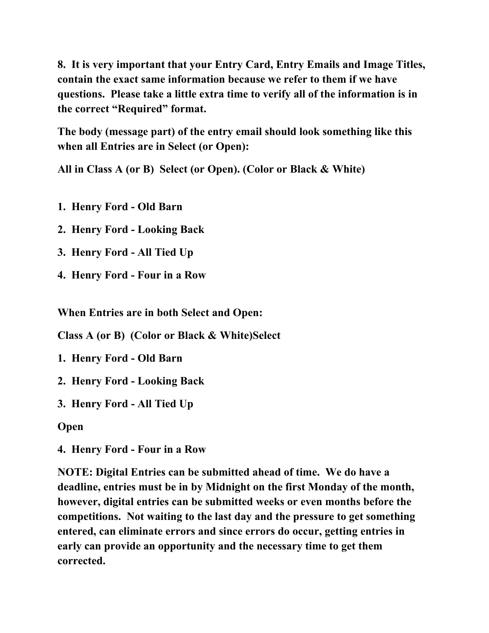**8. It is very important that your Entry Card, Entry Emails and Image Titles, contain the exact same information because we refer to them if we have questions. Please take a little extra time to verify all of the information is in the correct "Required" format.**

**The body (message part) of the entry email should look something like this when all Entries are in Select (or Open):** 

**All in Class A (or B) Select (or Open). (Color or Black & White)** 

- **1. Henry Ford Old Barn**
- **2. Henry Ford Looking Back**
- **3. Henry Ford All Tied Up**
- **4. Henry Ford Four in a Row**

**When Entries are in both Select and Open:** 

**Class A (or B) (Color or Black & White)Select** 

- **1. Henry Ford Old Barn**
- **2. Henry Ford Looking Back**
- **3. Henry Ford All Tied Up**

**Open**

**4. Henry Ford - Four in a Row**

**NOTE: Digital Entries can be submitted ahead of time. We do have a deadline, entries must be in by Midnight on the first Monday of the month, however, digital entries can be submitted weeks or even months before the competitions. Not waiting to the last day and the pressure to get something entered, can eliminate errors and since errors do occur, getting entries in early can provide an opportunity and the necessary time to get them corrected.**